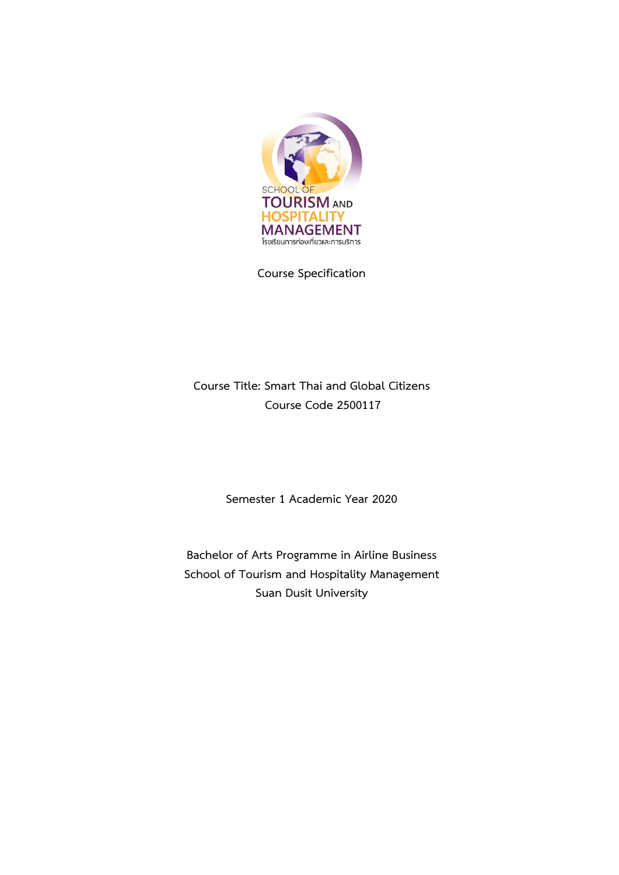

**Course Specification**

# **Course Title: Smart Thai and Global Citizens Course Code 2500117**

**Semester 1 Academic Year 2020**

**Bachelor of Arts Programme in Airline Business School of Tourism and Hospitality Management Suan Dusit University**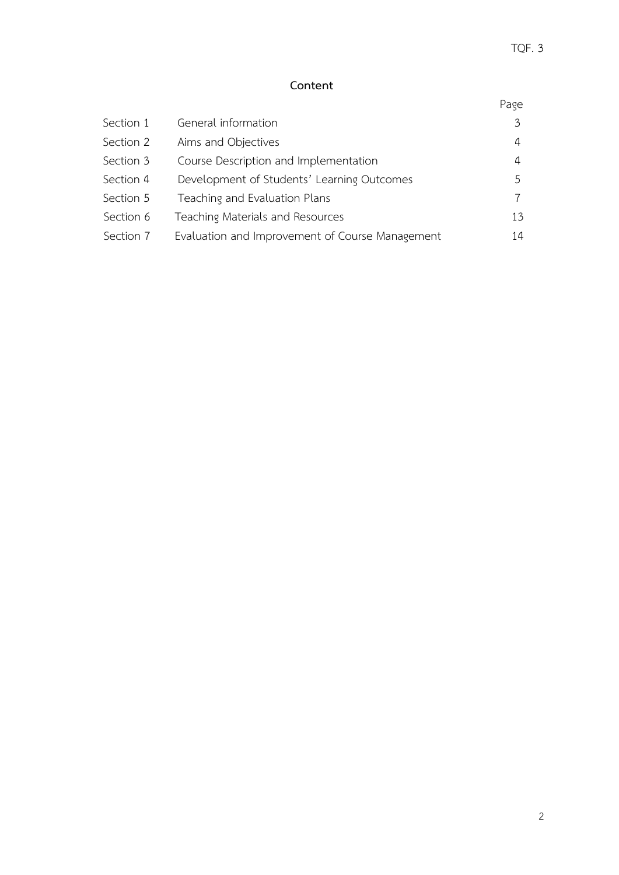# **Content**

| Section 1 | General information                             | 3            |
|-----------|-------------------------------------------------|--------------|
| Section 2 | Aims and Objectives                             | 4            |
| Section 3 | Course Description and Implementation           | 4            |
| Section 4 | Development of Students' Learning Outcomes      | $\mathsf{h}$ |
| Section 5 | Teaching and Evaluation Plans                   |              |
| Section 6 | Teaching Materials and Resources                | 13           |
| Section 7 | Evaluation and Improvement of Course Management | 14           |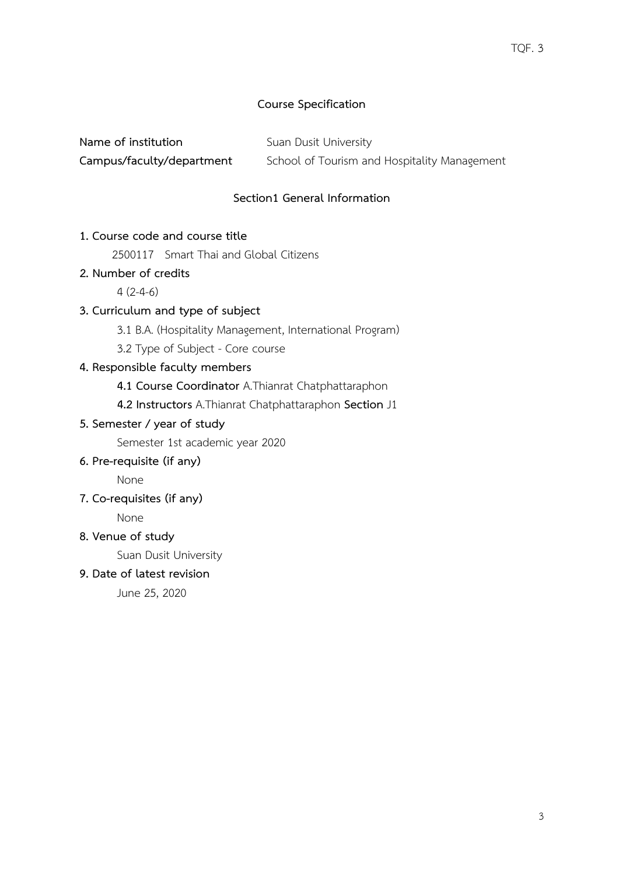# **Course Specification**

**Name of institution** Suan Dusit University

**Campus/faculty/department** School of Tourism and Hospitality Management

# **Section1 General Information**

# **1. Course code and course title**

2500117 Smart Thai and Global Citizens

# **2. Number of credits**

 $4(2-4-6)$ 

# **3. Curriculum and type of subject**

3.1 B.A. (Hospitality Management, International Program)

3.2 Type of Subject - Core course

# **4. Responsible faculty members**

**4.1 Course Coordinator** A.Thianrat Chatphattaraphon

 **4.2 Instructors** A.Thianrat Chatphattaraphon **Section** J1

# **5. Semester / year of study**

Semester 1st academic year 2020

## **6. Pre-requisite (if any)**

None

**7. Co-requisites (if any)**

None

# **8. Venue of study**

Suan Dusit University

**9. Date of latest revision**

June 25, 2020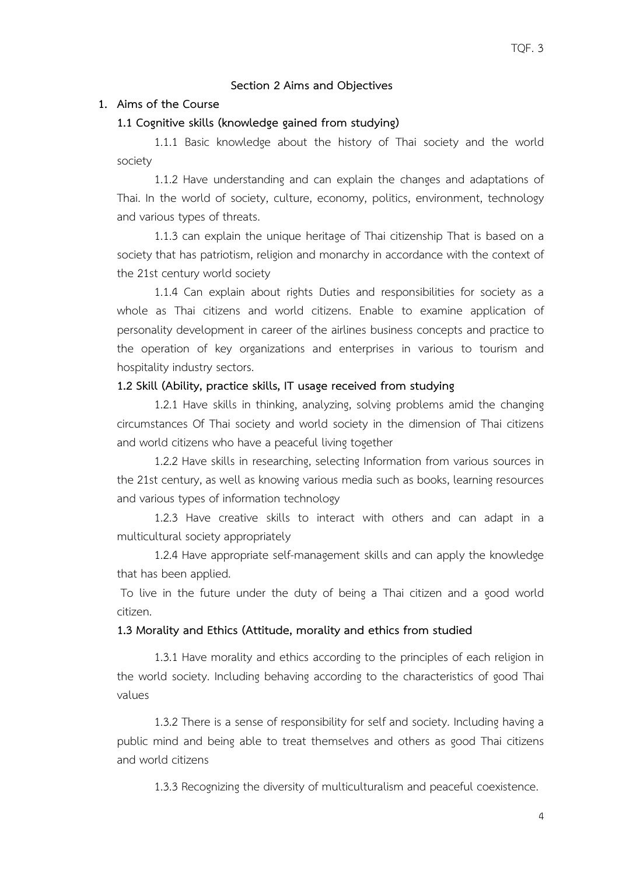## **Section 2 Aims and Objectives**

#### **1. Aims of the Course**

#### **1.1 Cognitive skills (knowledge gained from studying)**

1.1.1 Basic knowledge about the history of Thai society and the world society

1.1.2 Have understanding and can explain the changes and adaptations of Thai. In the world of society, culture, economy, politics, environment, technology and various types of threats.

1.1.3 can explain the unique heritage of Thai citizenship That is based on a society that has patriotism, religion and monarchy in accordance with the context of the 21st century world society

1.1.4 Can explain about rights Duties and responsibilities for society as a whole as Thai citizens and world citizens. Enable to examine application of personality development in career of the airlines business concepts and practice to the operation of key organizations and enterprises in various to tourism and hospitality industry sectors.

#### **1.2 Skill (Ability, practice skills, IT usage received from studying**

1.2.1 Have skills in thinking, analyzing, solving problems amid the changing circumstances Of Thai society and world society in the dimension of Thai citizens and world citizens who have a peaceful living together

1.2.2 Have skills in researching, selecting Information from various sources in the 21st century, as well as knowing various media such as books, learning resources and various types of information technology

1.2.3 Have creative skills to interact with others and can adapt in a multicultural society appropriately

1.2.4 Have appropriate self-management skills and can apply the knowledge that has been applied.

To live in the future under the duty of being a Thai citizen and a good world citizen.

#### **1.3 Morality and Ethics (Attitude, morality and ethics from studied**

1.3.1 Have morality and ethics according to the principles of each religion in the world society. Including behaving according to the characteristics of good Thai values

1.3.2 There is a sense of responsibility for self and society. Including having a public mind and being able to treat themselves and others as good Thai citizens and world citizens

1.3.3 Recognizing the diversity of multiculturalism and peaceful coexistence.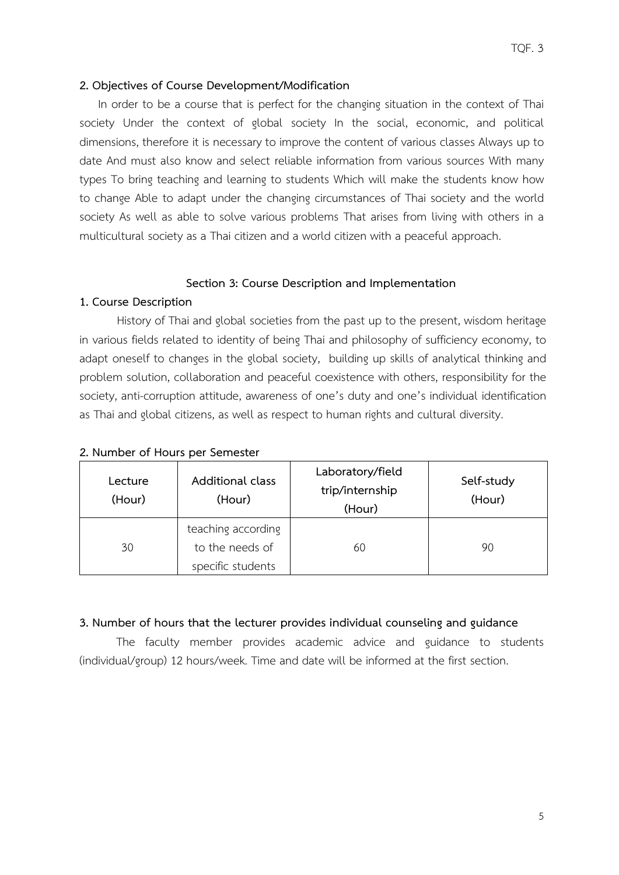## **2. Objectives of Course Development/Modification**

In order to be a course that is perfect for the changing situation in the context of Thai society Under the context of global society In the social, economic, and political dimensions, therefore it is necessary to improve the content of various classes Always up to date And must also know and select reliable information from various sources With many types To bring teaching and learning to students Which will make the students know how to change Able to adapt under the changing circumstances of Thai society and the world society As well as able to solve various problems That arises from living with others in a multicultural society as a Thai citizen and a world citizen with a peaceful approach.

#### **Section 3: Course Description and Implementation**

#### **1. Course Description**

History of Thai and global societies from the past up to the present, wisdom heritage in various fields related to identity of being Thai and philosophy of sufficiency economy, to adapt oneself to changes in the global society, building up skills of analytical thinking and problem solution, collaboration and peaceful coexistence with others, responsibility for the society, anti-corruption attitude, awareness of one's duty and one's individual identification as Thai and global citizens, as well as respect to human rights and cultural diversity.

| Lecture<br>(Hour) | Additional class<br>(Hour)                                 | Laboratory/field<br>trip/internship<br>(Hour) | Self-study<br>(Hour) |
|-------------------|------------------------------------------------------------|-----------------------------------------------|----------------------|
| 30                | teaching according<br>to the needs of<br>specific students | 60                                            | 90                   |

#### **2. Number of Hours per Semester**

#### **3. Number of hours that the lecturer provides individual counseling and guidance**

The faculty member provides academic advice and guidance to students (individual/group) 12 hours/week. Time and date will be informed at the first section.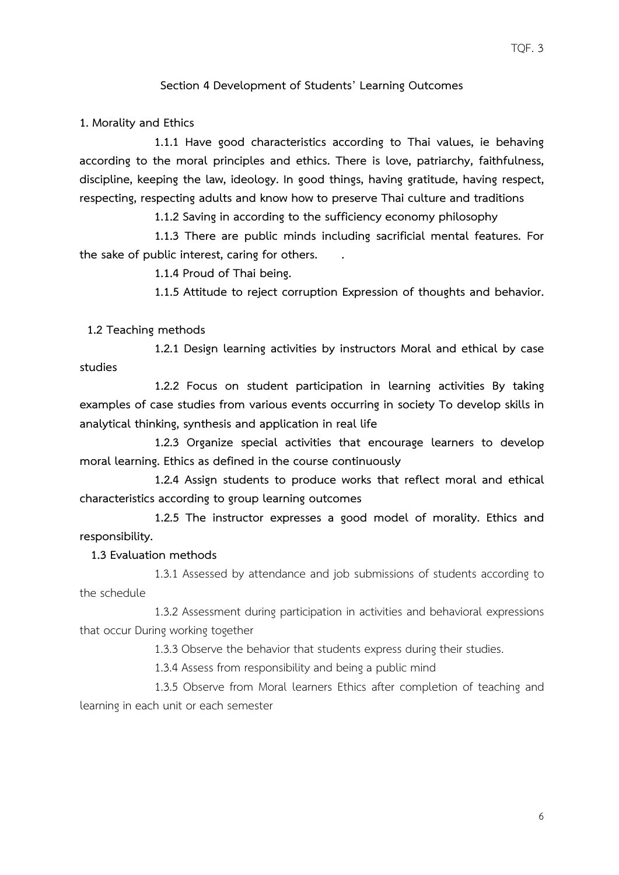## **Section 4 Development of Students' Learning Outcomes**

**1. Morality and Ethics**

 **1.1.1 Have good characteristics according to Thai values, ie behaving according to the moral principles and ethics. There is love, patriarchy, faithfulness, discipline, keeping the law, ideology. In good things, having gratitude, having respect, respecting, respecting adults and know how to preserve Thai culture and traditions**

**1.1.2 Saving in according to the sufficiency economy philosophy**

**1.1.3 There are public minds including sacrificial mental features. For the sake of public interest, caring for others. .**

**1.1.4 Proud of Thai being.**

 **1.1.5 Attitude to reject corruption Expression of thoughts and behavior.**

 **1.2 Teaching methods**

**1.2.1 Design learning activities by instructors Moral and ethical by case studies**

**1.2.2 Focus on student participation in learning activities By taking examples of case studies from various events occurring in society To develop skills in analytical thinking, synthesis and application in real life**

**1.2.3 Organize special activities that encourage learners to develop moral learning. Ethics as defined in the course continuously**

**1.2.4 Assign students to produce works that reflect moral and ethical characteristics according to group learning outcomes**

**1.2.5 The instructor expresses a good model of morality. Ethics and responsibility.**

 **1.3 Evaluation methods**

1.3.1 Assessed by attendance and job submissions of students according to the schedule

1.3.2 Assessment during participation in activities and behavioral expressions that occur During working together

1.3.3 Observe the behavior that students express during their studies.

1.3.4 Assess from responsibility and being a public mind

1.3.5 Observe from Moral learners Ethics after completion of teaching and learning in each unit or each semester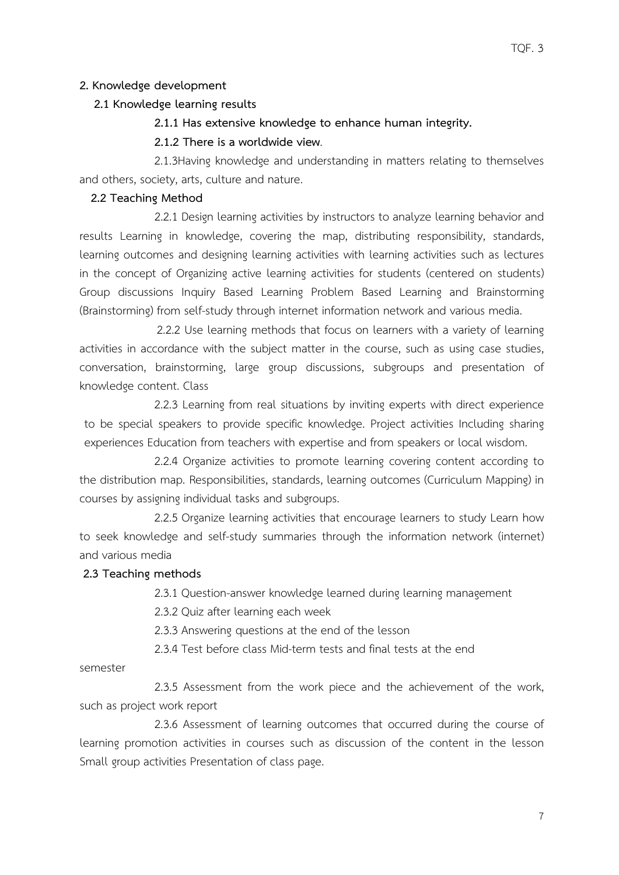## **2. Knowledge development**

## **2.1 Knowledge learning results**

#### **2.1.1 Has extensive knowledge to enhance human integrity.**

## **2.1.2 There is a worldwide view**.

2.1.3Having knowledge and understanding in matters relating to themselves and others, society, arts, culture and nature.

## **2.2 Teaching Method**

2.2.1 Design learning activities by instructors to analyze learning behavior and results Learning in knowledge, covering the map, distributing responsibility, standards, learning outcomes and designing learning activities with learning activities such as lectures in the concept of Organizing active learning activities for students (centered on students) Group discussions Inquiry Based Learning Problem Based Learning and Brainstorming (Brainstorming) from self-study through internet information network and various media.

 2.2.2 Use learning methods that focus on learners with a variety of learning activities in accordance with the subject matter in the course, such as using case studies, conversation, brainstorming, large group discussions, subgroups and presentation of knowledge content. Class

 2.2.3 Learning from real situations by inviting experts with direct experience to be special speakers to provide specific knowledge. Project activities Including sharing experiences Education from teachers with expertise and from speakers or local wisdom.

2.2.4 Organize activities to promote learning covering content according to the distribution map. Responsibilities, standards, learning outcomes (Curriculum Mapping) in courses by assigning individual tasks and subgroups.

2.2.5 Organize learning activities that encourage learners to study Learn how to seek knowledge and self-study summaries through the information network (internet) and various media

#### **2.3 Teaching methods**

2.3.1 Question-answer knowledge learned during learning management

2.3.2 Quiz after learning each week

2.3.3 Answering questions at the end of the lesson

2.3.4 Test before class Mid-term tests and final tests at the end

semester

2.3.5 Assessment from the work piece and the achievement of the work, such as project work report

2.3.6 Assessment of learning outcomes that occurred during the course of learning promotion activities in courses such as discussion of the content in the lesson Small group activities Presentation of class page.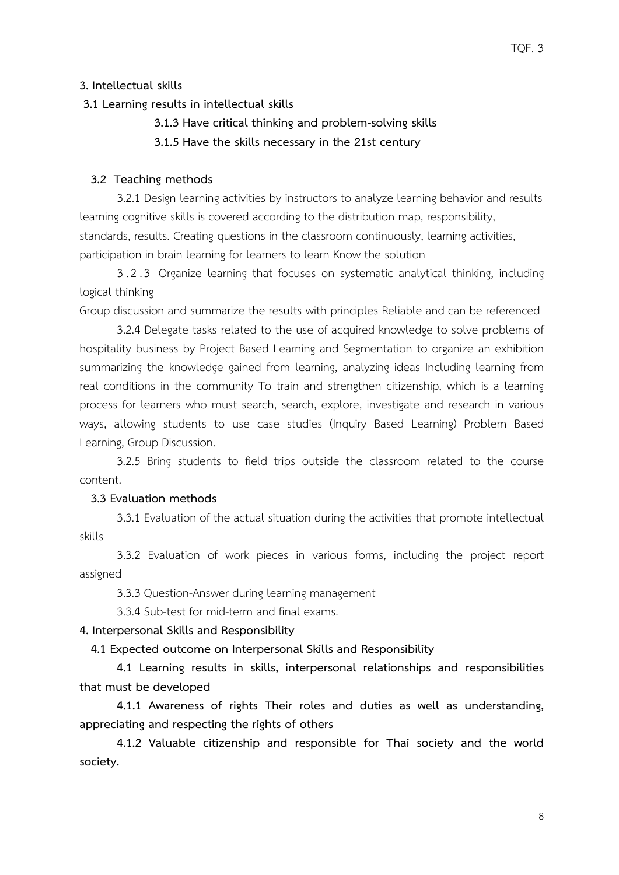## **3. Intellectual skills**

## **3.1 Learning results in intellectual skills**

- **3.1.3 Have critical thinking and problem-solving skills**
- **3.1.5 Have the skills necessary in the 21st century**

#### **3.2 Teaching methods**

3.2.1 Design learning activities by instructors to analyze learning behavior and results learning cognitive skills is covered according to the distribution map, responsibility, standards, results. Creating questions in the classroom continuously, learning activities, participation in brain learning for learners to learn Know the solution

3.2.3 Organize learning that focuses on systematic analytical thinking, including logical thinking

Group discussion and summarize the results with principles Reliable and can be referenced

3.2.4 Delegate tasks related to the use of acquired knowledge to solve problems of hospitality business by Project Based Learning and Segmentation to organize an exhibition summarizing the knowledge gained from learning, analyzing ideas Including learning from real conditions in the community To train and strengthen citizenship, which is a learning process for learners who must search, search, explore, investigate and research in various ways, allowing students to use case studies (Inquiry Based Learning) Problem Based Learning, Group Discussion.

3.2.5 Bring students to field trips outside the classroom related to the course content.

#### **3.3 Evaluation methods**

3.3.1 Evaluation of the actual situation during the activities that promote intellectual skills

3.3.2 Evaluation of work pieces in various forms, including the project report assigned

3.3.3 Question-Answer during learning management

3.3.4 Sub-test for mid-term and final exams.

## **4. Interpersonal Skills and Responsibility**

 **4.1 Expected outcome on Interpersonal Skills and Responsibility**

**4.1 Learning results in skills, interpersonal relationships and responsibilities that must be developed**

**4.1.1 Awareness of rights Their roles and duties as well as understanding, appreciating and respecting the rights of others**

**4.1.2 Valuable citizenship and responsible for Thai society and the world society.**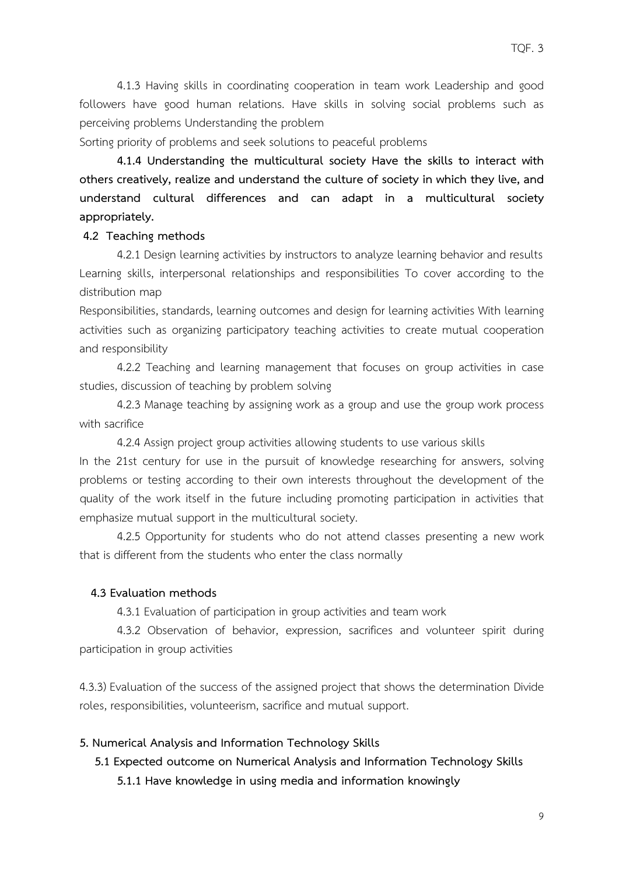4.1.3 Having skills in coordinating cooperation in team work Leadership and good followers have good human relations. Have skills in solving social problems such as perceiving problems Understanding the problem

Sorting priority of problems and seek solutions to peaceful problems

**4.1.4 Understanding the multicultural society Have the skills to interact with others creatively, realize and understand the culture of society in which they live, and understand cultural differences and can adapt in a multicultural society appropriately.**

#### **4.2 Teaching methods**

4.2.1 Design learning activities by instructors to analyze learning behavior and results Learning skills, interpersonal relationships and responsibilities To cover according to the distribution map

Responsibilities, standards, learning outcomes and design for learning activities With learning activities such as organizing participatory teaching activities to create mutual cooperation and responsibility

4.2.2 Teaching and learning management that focuses on group activities in case studies, discussion of teaching by problem solving

4.2.3 Manage teaching by assigning work as a group and use the group work process with sacrifice

4.2.4 Assign project group activities allowing students to use various skills In the 21st century for use in the pursuit of knowledge researching for answers, solving problems or testing according to their own interests throughout the development of the quality of the work itself in the future including promoting participation in activities that emphasize mutual support in the multicultural society.

4.2.5 Opportunity for students who do not attend classes presenting a new work that is different from the students who enter the class normally

## **4.3 Evaluation methods**

4.3.1 Evaluation of participation in group activities and team work

4.3.2 Observation of behavior, expression, sacrifices and volunteer spirit during participation in group activities

4.3.3) Evaluation of the success of the assigned project that shows the determination Divide roles, responsibilities, volunteerism, sacrifice and mutual support.

#### **5. Numerical Analysis and Information Technology Skills**

 **5.1 Expected outcome on Numerical Analysis and Information Technology Skills**

**5.1.1 Have knowledge in using media and information knowingly**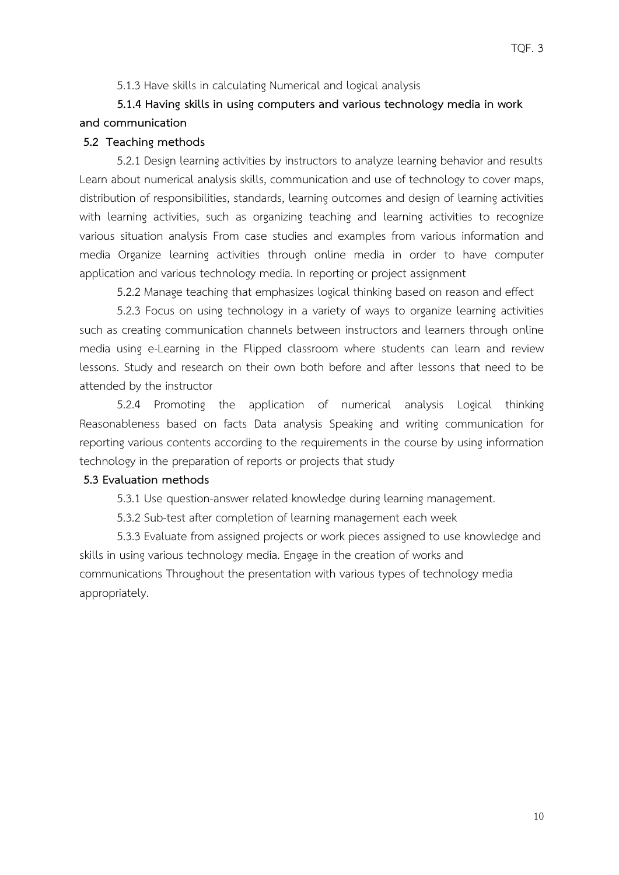5.1.3 Have skills in calculating Numerical and logical analysis

# **5.1.4 Having skills in using computers and various technology media in work and communication**

## **5.2 Teaching methods**

5.2.1 Design learning activities by instructors to analyze learning behavior and results Learn about numerical analysis skills, communication and use of technology to cover maps, distribution of responsibilities, standards, learning outcomes and design of learning activities with learning activities, such as organizing teaching and learning activities to recognize various situation analysis From case studies and examples from various information and media Organize learning activities through online media in order to have computer application and various technology media. In reporting or project assignment

5.2.2 Manage teaching that emphasizes logical thinking based on reason and effect

5.2.3 Focus on using technology in a variety of ways to organize learning activities such as creating communication channels between instructors and learners through online media using e-Learning in the Flipped classroom where students can learn and review lessons. Study and research on their own both before and after lessons that need to be attended by the instructor

5.2.4 Promoting the application of numerical analysis Logical thinking Reasonableness based on facts Data analysis Speaking and writing communication for reporting various contents according to the requirements in the course by using information technology in the preparation of reports or projects that study

#### **5.3 Evaluation methods**

5.3.1 Use question-answer related knowledge during learning management.

5.3.2 Sub-test after completion of learning management each week

5.3.3 Evaluate from assigned projects or work pieces assigned to use knowledge and skills in using various technology media. Engage in the creation of works and communications Throughout the presentation with various types of technology media appropriately.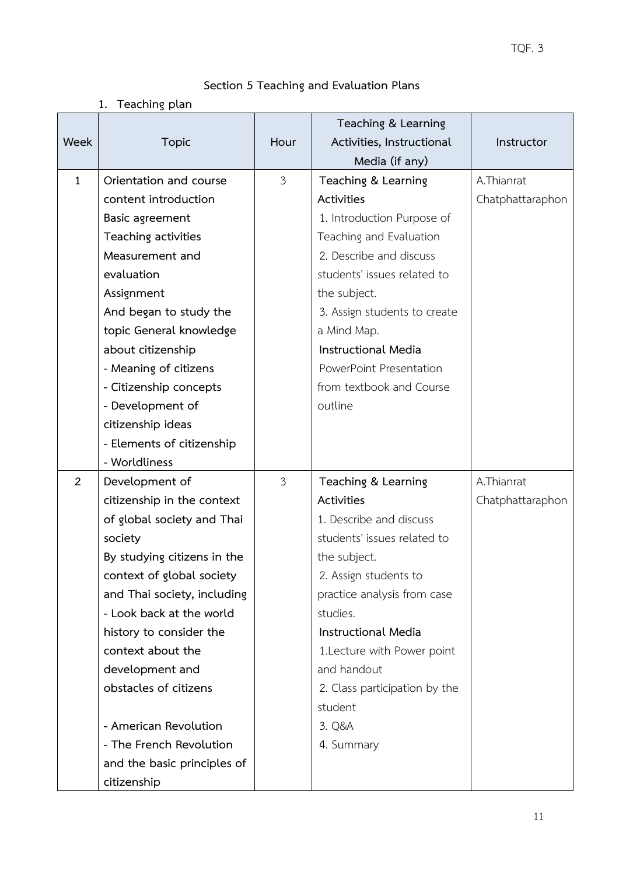# **Section 5 Teaching and Evaluation Plans**

# **1. Teaching plan**

|                |                             |                | Teaching & Learning                         |                  |
|----------------|-----------------------------|----------------|---------------------------------------------|------------------|
| Week           | <b>Topic</b>                | Hour           | Activities, Instructional<br>Media (if any) | Instructor       |
| $\mathbf{1}$   | Orientation and course      | $\mathfrak{Z}$ | Teaching & Learning                         | A.Thianrat       |
|                | content introduction        |                | Activities                                  | Chatphattaraphon |
|                | Basic agreement             |                | 1. Introduction Purpose of                  |                  |
|                | Teaching activities         |                | Teaching and Evaluation                     |                  |
|                | Measurement and             |                | 2. Describe and discuss                     |                  |
|                | evaluation                  |                | students' issues related to                 |                  |
|                | Assignment                  |                | the subject.                                |                  |
|                | And began to study the      |                | 3. Assign students to create                |                  |
|                | topic General knowledge     |                | a Mind Map.                                 |                  |
|                | about citizenship           |                | <b>Instructional Media</b>                  |                  |
|                | - Meaning of citizens       |                | PowerPoint Presentation                     |                  |
|                | - Citizenship concepts      |                | from textbook and Course                    |                  |
|                | - Development of            |                | outline                                     |                  |
|                | citizenship ideas           |                |                                             |                  |
|                | - Elements of citizenship   |                |                                             |                  |
|                | - Worldliness               |                |                                             |                  |
| $\overline{2}$ | Development of              | 3              | Teaching & Learning                         | A.Thianrat       |
|                | citizenship in the context  |                | Activities                                  | Chatphattaraphon |
|                | of global society and Thai  |                | 1. Describe and discuss                     |                  |
|                | society                     |                | students' issues related to                 |                  |
|                | By studying citizens in the |                | the subject.                                |                  |
|                | context of global society   |                | 2. Assign students to                       |                  |
|                | and Thai society, including |                | practice analysis from case                 |                  |
|                | - Look back at the world    |                | studies.                                    |                  |
|                | history to consider the     |                | <b>Instructional Media</b>                  |                  |
|                | context about the           |                | 1. Lecture with Power point                 |                  |
|                | development and             |                | and handout                                 |                  |
|                | obstacles of citizens       |                | 2. Class participation by the               |                  |
|                |                             |                | student                                     |                  |
|                | - American Revolution       |                | 3. Q&A                                      |                  |
|                | - The French Revolution     |                | 4. Summary                                  |                  |
|                | and the basic principles of |                |                                             |                  |
|                | citizenship                 |                |                                             |                  |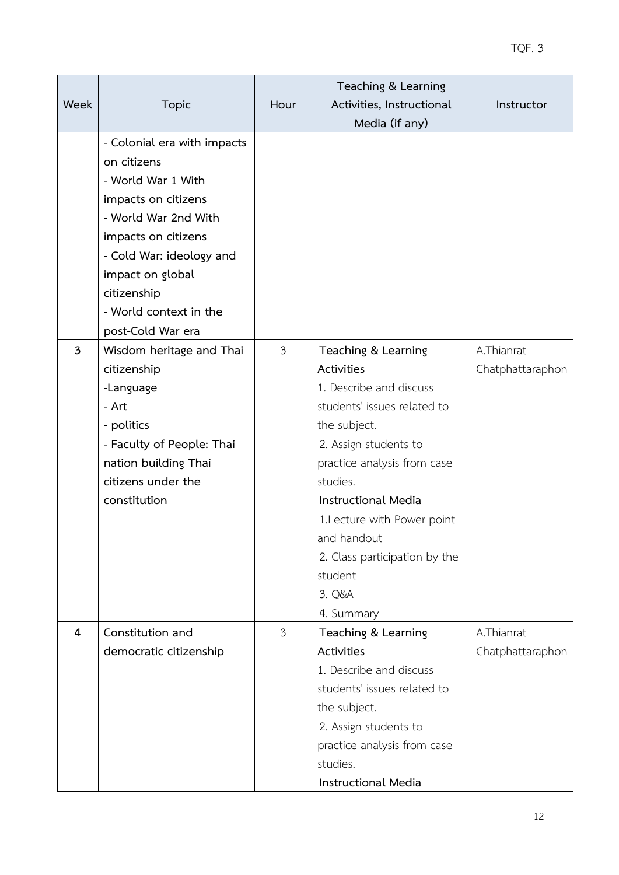|              |                             |                | Teaching & Learning           |                  |
|--------------|-----------------------------|----------------|-------------------------------|------------------|
| Week         | <b>Topic</b>                | Hour           | Activities, Instructional     | Instructor       |
|              |                             |                | Media (if any)                |                  |
|              | - Colonial era with impacts |                |                               |                  |
|              | on citizens                 |                |                               |                  |
|              | - World War 1 With          |                |                               |                  |
|              | impacts on citizens         |                |                               |                  |
|              | - World War 2nd With        |                |                               |                  |
|              | impacts on citizens         |                |                               |                  |
|              | - Cold War: ideology and    |                |                               |                  |
|              | impact on global            |                |                               |                  |
|              | citizenship                 |                |                               |                  |
|              | - World context in the      |                |                               |                  |
|              | post-Cold War era           |                |                               |                  |
| $\mathbf{3}$ | Wisdom heritage and Thai    | $\mathfrak{Z}$ | Teaching & Learning           | A.Thianrat       |
|              | citizenship                 |                | Activities                    | Chatphattaraphon |
|              | -Language                   |                | 1. Describe and discuss       |                  |
|              | - Art                       |                | students' issues related to   |                  |
|              | - politics                  |                | the subject.                  |                  |
|              | - Faculty of People: Thai   |                | 2. Assign students to         |                  |
|              | nation building Thai        |                | practice analysis from case   |                  |
|              | citizens under the          |                | studies.                      |                  |
|              | constitution                |                | <b>Instructional Media</b>    |                  |
|              |                             |                | 1.Lecture with Power point    |                  |
|              |                             |                | and handout                   |                  |
|              |                             |                | 2. Class participation by the |                  |
|              |                             |                | student                       |                  |
|              |                             |                | 3. Q&A                        |                  |
|              |                             |                | 4. Summary                    |                  |
| 4            | Constitution and            | $\mathfrak{Z}$ | Teaching & Learning           | A.Thianrat       |
|              | democratic citizenship      |                | Activities                    | Chatphattaraphon |
|              |                             |                | 1. Describe and discuss       |                  |
|              |                             |                | students' issues related to   |                  |
|              |                             |                | the subject.                  |                  |
|              |                             |                | 2. Assign students to         |                  |
|              |                             |                | practice analysis from case   |                  |
|              |                             |                | studies.                      |                  |
|              |                             |                | <b>Instructional Media</b>    |                  |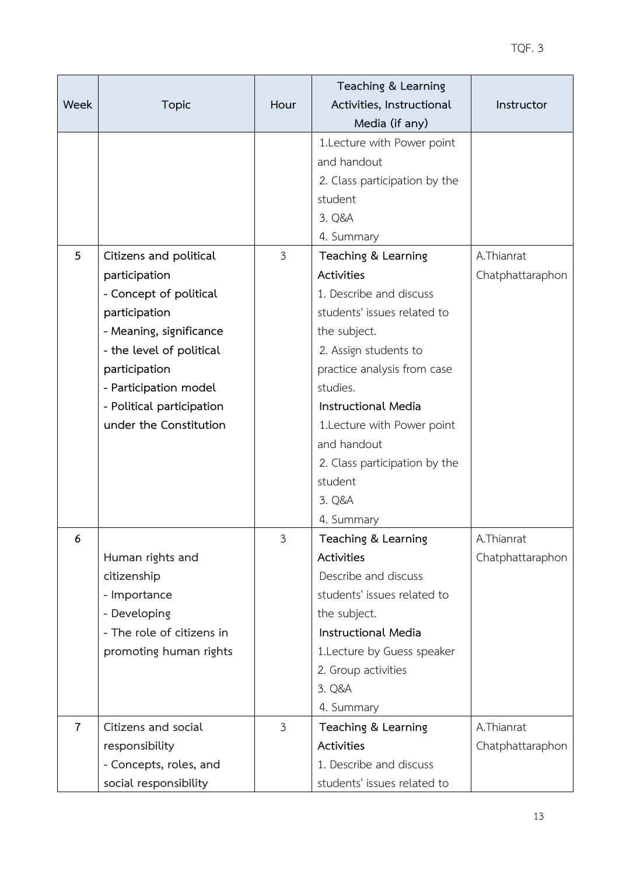|                |                           |                | Teaching & Learning           |                  |
|----------------|---------------------------|----------------|-------------------------------|------------------|
| Week           | <b>Topic</b>              | Hour           | Activities, Instructional     | Instructor       |
|                |                           |                | Media (if any)                |                  |
|                |                           |                | 1.Lecture with Power point    |                  |
|                |                           |                | and handout                   |                  |
|                |                           |                | 2. Class participation by the |                  |
|                |                           |                | student                       |                  |
|                |                           |                | 3. Q&A                        |                  |
|                |                           |                | 4. Summary                    |                  |
| 5              | Citizens and political    | $\mathfrak{Z}$ | Teaching & Learning           | A.Thianrat       |
|                | participation             |                | Activities                    | Chatphattaraphon |
|                | - Concept of political    |                | 1. Describe and discuss       |                  |
|                | participation             |                | students' issues related to   |                  |
|                | - Meaning, significance   |                | the subject.                  |                  |
|                | - the level of political  |                | 2. Assign students to         |                  |
|                | participation             |                | practice analysis from case   |                  |
|                | - Participation model     |                | studies.                      |                  |
|                | - Political participation |                | <b>Instructional Media</b>    |                  |
|                | under the Constitution    |                | 1. Lecture with Power point   |                  |
|                |                           |                | and handout                   |                  |
|                |                           |                | 2. Class participation by the |                  |
|                |                           |                | student                       |                  |
|                |                           |                | 3. Q&A                        |                  |
|                |                           |                | 4. Summary                    |                  |
| 6              |                           | 3              | Teaching & Learning           | A.Thianrat       |
|                | Human rights and          |                | Activities                    | Chatphattaraphon |
|                | citizenship               |                | Describe and discuss          |                  |
|                | - Importance              |                | students' issues related to   |                  |
|                | - Developing              |                | the subject.                  |                  |
|                | - The role of citizens in |                | <b>Instructional Media</b>    |                  |
|                | promoting human rights    |                | 1. Lecture by Guess speaker   |                  |
|                |                           |                | 2. Group activities           |                  |
|                |                           |                | 3. Q&A                        |                  |
|                |                           |                | 4. Summary                    |                  |
| $\overline{7}$ | Citizens and social       | $\mathfrak{Z}$ | Teaching & Learning           | A.Thianrat       |
|                | responsibility            |                | Activities                    | Chatphattaraphon |
|                | - Concepts, roles, and    |                | 1. Describe and discuss       |                  |
|                | social responsibility     |                | students' issues related to   |                  |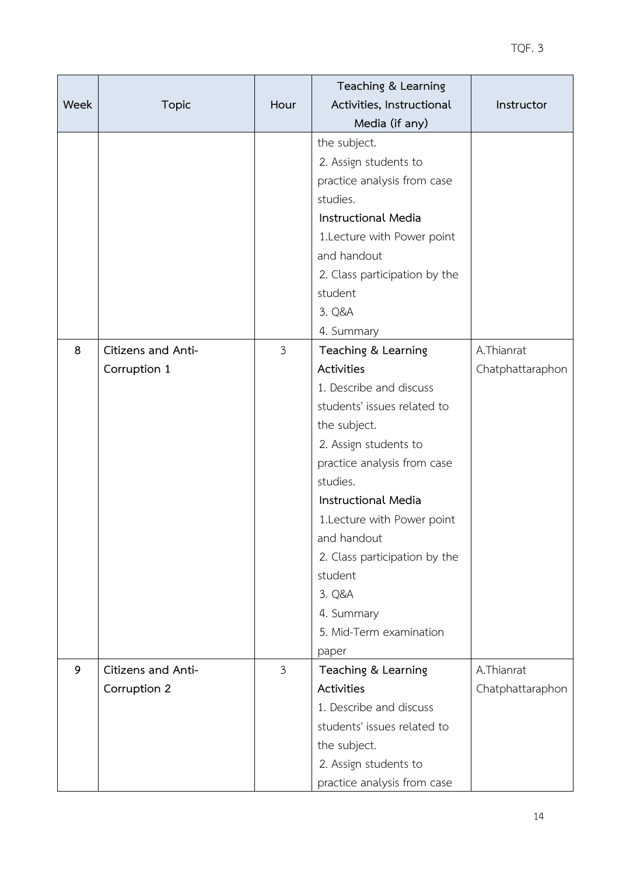|      |                    |                | Teaching & Learning           |                  |
|------|--------------------|----------------|-------------------------------|------------------|
| Week | <b>Topic</b>       | Hour           | Activities, Instructional     | Instructor       |
|      |                    |                | Media (if any)                |                  |
|      |                    |                | the subject.                  |                  |
|      |                    |                | 2. Assign students to         |                  |
|      |                    |                | practice analysis from case   |                  |
|      |                    |                | studies.                      |                  |
|      |                    |                | Instructional Media           |                  |
|      |                    |                | 1. Lecture with Power point   |                  |
|      |                    |                | and handout                   |                  |
|      |                    |                | 2. Class participation by the |                  |
|      |                    |                | student                       |                  |
|      |                    |                | 3. Q&A                        |                  |
|      |                    |                | 4. Summary                    |                  |
| 8    | Citizens and Anti- | $\mathfrak{Z}$ | Teaching & Learning           | A.Thianrat       |
|      | Corruption 1       |                | Activities                    | Chatphattaraphon |
|      |                    |                | 1. Describe and discuss       |                  |
|      |                    |                | students' issues related to   |                  |
|      |                    |                | the subject.                  |                  |
|      |                    |                | 2. Assign students to         |                  |
|      |                    |                | practice analysis from case   |                  |
|      |                    |                | studies.                      |                  |
|      |                    |                | <b>Instructional Media</b>    |                  |
|      |                    |                | 1. Lecture with Power point   |                  |
|      |                    |                | and handout                   |                  |
|      |                    |                | 2. Class participation by the |                  |
|      |                    |                | student                       |                  |
|      |                    |                | 3. Q&A                        |                  |
|      |                    |                | 4. Summary                    |                  |
|      |                    |                | 5. Mid-Term examination       |                  |
|      |                    |                | paper                         |                  |
| 9    | Citizens and Anti- | $\mathfrak{Z}$ | Teaching & Learning           | A.Thianrat       |
|      | Corruption 2       |                | Activities                    | Chatphattaraphon |
|      |                    |                | 1. Describe and discuss       |                  |
|      |                    |                | students' issues related to   |                  |
|      |                    |                | the subject.                  |                  |
|      |                    |                | 2. Assign students to         |                  |
|      |                    |                | practice analysis from case   |                  |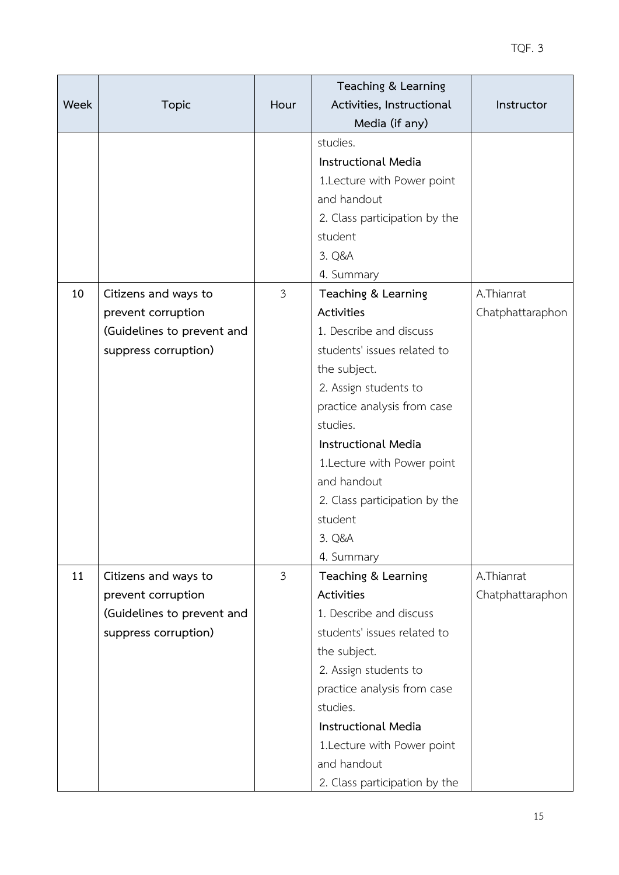|             |                            |                | Teaching & Learning           |                  |
|-------------|----------------------------|----------------|-------------------------------|------------------|
| <b>Week</b> | <b>Topic</b>               | Hour           | Activities, Instructional     | Instructor       |
|             |                            |                | Media (if any)                |                  |
|             |                            |                | studies.                      |                  |
|             |                            |                | <b>Instructional Media</b>    |                  |
|             |                            |                | 1. Lecture with Power point   |                  |
|             |                            |                | and handout                   |                  |
|             |                            |                | 2. Class participation by the |                  |
|             |                            |                | student                       |                  |
|             |                            |                | 3. Q&A                        |                  |
|             |                            |                | 4. Summary                    |                  |
| 10          | Citizens and ways to       | $\overline{3}$ | Teaching & Learning           | A.Thianrat       |
|             | prevent corruption         |                | Activities                    | Chatphattaraphon |
|             | (Guidelines to prevent and |                | 1. Describe and discuss       |                  |
|             | suppress corruption)       |                | students' issues related to   |                  |
|             |                            |                | the subject.                  |                  |
|             |                            |                | 2. Assign students to         |                  |
|             |                            |                | practice analysis from case   |                  |
|             |                            |                | studies.                      |                  |
|             |                            |                | Instructional Media           |                  |
|             |                            |                | 1. Lecture with Power point   |                  |
|             |                            |                | and handout                   |                  |
|             |                            |                | 2. Class participation by the |                  |
|             |                            |                | student                       |                  |
|             |                            |                | 3. Q&A                        |                  |
|             |                            |                | 4. Summary                    |                  |
| 11          | Citizens and ways to       | 3              | Teaching & Learning           | A.Thianrat       |
|             | prevent corruption         |                | Activities                    | Chatphattaraphon |
|             | (Guidelines to prevent and |                | 1. Describe and discuss       |                  |
|             | suppress corruption)       |                | students' issues related to   |                  |
|             |                            |                | the subject.                  |                  |
|             |                            |                | 2. Assign students to         |                  |
|             |                            |                | practice analysis from case   |                  |
|             |                            |                | studies.                      |                  |
|             |                            |                | <b>Instructional Media</b>    |                  |
|             |                            |                | 1. Lecture with Power point   |                  |
|             |                            |                | and handout                   |                  |
|             |                            |                | 2. Class participation by the |                  |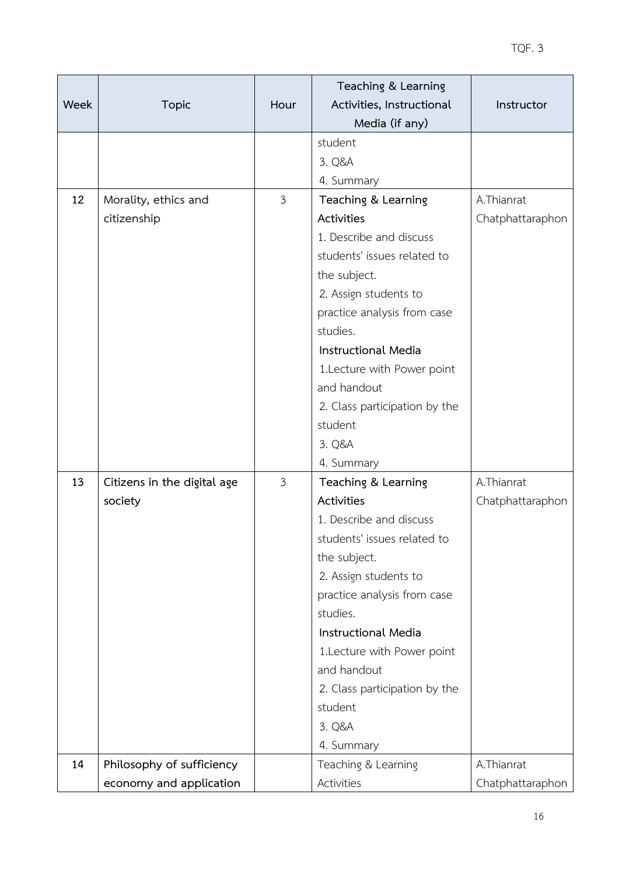|      |                             |                | Teaching & Learning           |                  |
|------|-----------------------------|----------------|-------------------------------|------------------|
| Week | <b>Topic</b>                | Hour           | Activities, Instructional     | Instructor       |
|      |                             |                | Media (if any)                |                  |
|      |                             |                | student                       |                  |
|      |                             |                | 3. Q&A                        |                  |
|      |                             |                | 4. Summary                    |                  |
| 12   | Morality, ethics and        | $\mathfrak{Z}$ | Teaching & Learning           | A.Thianrat       |
|      | citizenship                 |                | Activities                    | Chatphattaraphon |
|      |                             |                | 1. Describe and discuss       |                  |
|      |                             |                | students' issues related to   |                  |
|      |                             |                | the subject.                  |                  |
|      |                             |                | 2. Assign students to         |                  |
|      |                             |                | practice analysis from case   |                  |
|      |                             |                | studies.                      |                  |
|      |                             |                | <b>Instructional Media</b>    |                  |
|      |                             |                | 1. Lecture with Power point   |                  |
|      |                             |                | and handout                   |                  |
|      |                             |                | 2. Class participation by the |                  |
|      |                             |                | student                       |                  |
|      |                             |                | 3. Q&A                        |                  |
|      |                             |                | 4. Summary                    |                  |
| 13   | Citizens in the digital age | $\mathfrak{Z}$ | Teaching & Learning           | A.Thianrat       |
|      | society                     |                | Activities                    | Chatphattaraphon |
|      |                             |                | 1. Describe and discuss       |                  |
|      |                             |                | students' issues related to   |                  |
|      |                             |                | the subject.                  |                  |
|      |                             |                | 2. Assign students to         |                  |
|      |                             |                | practice analysis from case   |                  |
|      |                             |                | studies.                      |                  |
|      |                             |                | <b>Instructional Media</b>    |                  |
|      |                             |                | 1. Lecture with Power point   |                  |
|      |                             |                | and handout                   |                  |
|      |                             |                | 2. Class participation by the |                  |
|      |                             |                | student                       |                  |
|      |                             |                | 3. Q&A                        |                  |
|      |                             |                | 4. Summary                    |                  |
| 14   | Philosophy of sufficiency   |                | Teaching & Learning           | A.Thianrat       |
|      | economy and application     |                | Activities                    | Chatphattaraphon |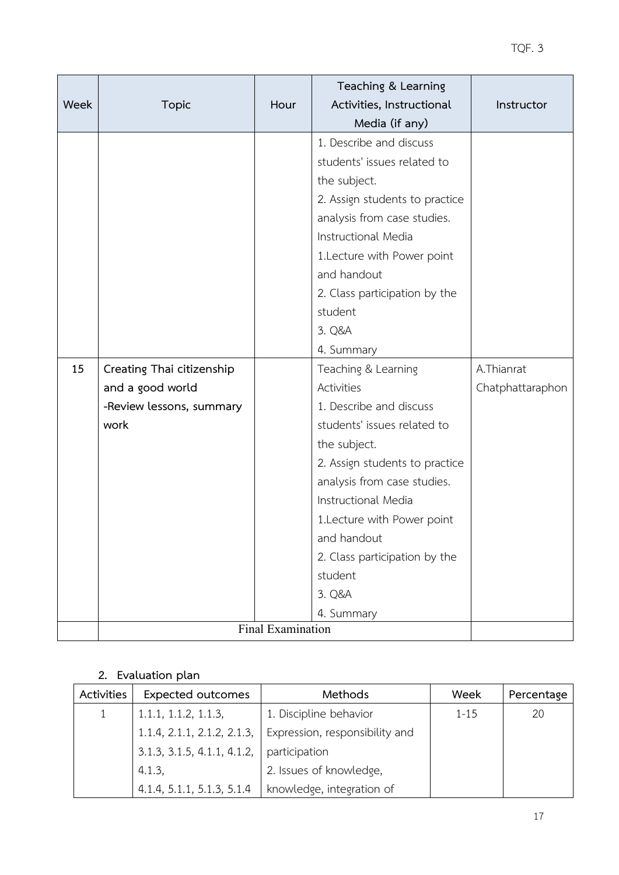| Week | <b>Topic</b>              | Hour | Teaching & Learning<br>Activities, Instructional<br>Media (if any)                                                                                                                                                                           | Instructor       |
|------|---------------------------|------|----------------------------------------------------------------------------------------------------------------------------------------------------------------------------------------------------------------------------------------------|------------------|
|      |                           |      | 1. Describe and discuss<br>students' issues related to<br>the subject.<br>2. Assign students to practice<br>analysis from case studies.<br>Instructional Media<br>1.Lecture with Power point<br>and handout<br>2. Class participation by the |                  |
|      |                           |      | student<br>3. Q&A<br>4. Summary                                                                                                                                                                                                              |                  |
| 15   | Creating Thai citizenship |      | Teaching & Learning                                                                                                                                                                                                                          | A.Thianrat       |
|      | and a good world          |      | Activities                                                                                                                                                                                                                                   | Chatphattaraphon |
|      | -Review lessons, summary  |      | 1. Describe and discuss                                                                                                                                                                                                                      |                  |
|      | work                      |      | students' issues related to                                                                                                                                                                                                                  |                  |
|      |                           |      | the subject.                                                                                                                                                                                                                                 |                  |
|      |                           |      | 2. Assign students to practice                                                                                                                                                                                                               |                  |
|      |                           |      | analysis from case studies.                                                                                                                                                                                                                  |                  |
|      |                           |      | Instructional Media                                                                                                                                                                                                                          |                  |
|      |                           |      | 1.Lecture with Power point                                                                                                                                                                                                                   |                  |
|      |                           |      | and handout                                                                                                                                                                                                                                  |                  |
|      |                           |      | 2. Class participation by the                                                                                                                                                                                                                |                  |
|      |                           |      | student                                                                                                                                                                                                                                      |                  |
|      |                           |      | 3. Q&A                                                                                                                                                                                                                                       |                  |
|      |                           |      | 4. Summary                                                                                                                                                                                                                                   |                  |
|      | Final Examination         |      |                                                                                                                                                                                                                                              |                  |

# **2. Evaluation plan**

| Activities | <b>Expected outcomes</b>    | Methods                        | Week     | Percentage |
|------------|-----------------------------|--------------------------------|----------|------------|
|            | 1.1.1, 1.1.2, 1.1.3,        | 1. Discipline behavior         | $1 - 15$ | 20         |
|            | 1.1.4, 2.1.1, 2.1.2, 2.1.3, | Expression, responsibility and |          |            |
|            | 3.1.3, 3.1.5, 4.1.1, 4.1.2, | participation                  |          |            |
|            | 4.1.3                       | 2. Issues of knowledge,        |          |            |
|            | 4.1.4, 5.1.1, 5.1.3, 5.1.4  | knowledge, integration of      |          |            |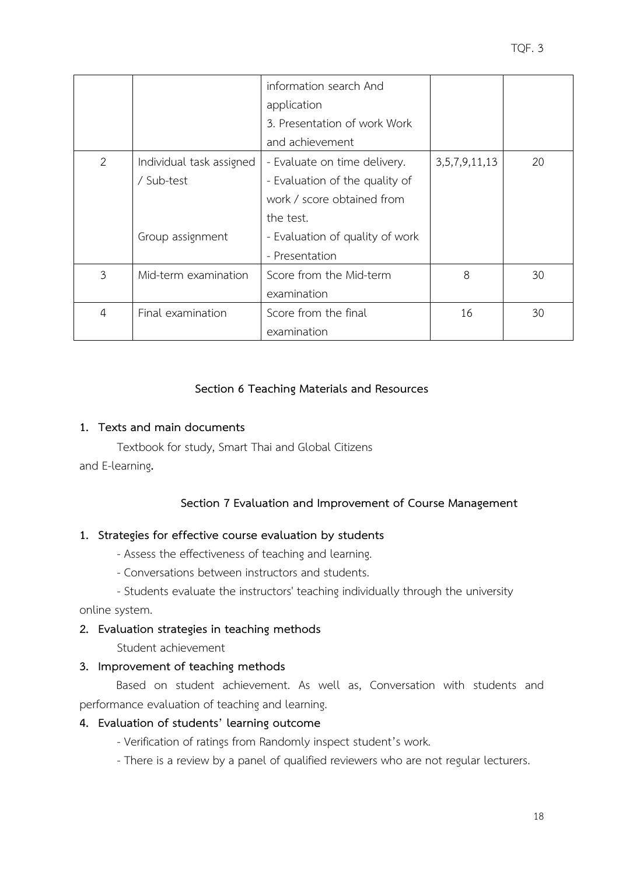|                |                          | information search And          |                    |    |
|----------------|--------------------------|---------------------------------|--------------------|----|
|                |                          | application                     |                    |    |
|                |                          | 3. Presentation of work Work    |                    |    |
|                |                          | and achievement                 |                    |    |
| 2              | Individual task assigned | - Evaluate on time delivery.    | 3, 5, 7, 9, 11, 13 | 20 |
|                | / Sub-test               | - Evaluation of the quality of  |                    |    |
|                |                          | work / score obtained from      |                    |    |
|                |                          | the test.                       |                    |    |
|                | Group assignment         | - Evaluation of quality of work |                    |    |
|                |                          | - Presentation                  |                    |    |
| 3              | Mid-term examination     | Score from the Mid-term         | 8                  | 30 |
|                |                          | examination                     |                    |    |
| $\overline{4}$ | Final examination        | Score from the final            | 16                 | 30 |
|                |                          | examination                     |                    |    |

# **Section 6 Teaching Materials and Resources**

# **1. Texts and main documents**

Textbook for study, Smart Thai and Global Citizens and E-learning**.**

# **Section 7 Evaluation and Improvement of Course Management**

## **1. Strategies for effective course evaluation by students**

- Assess the effectiveness of teaching and learning.
- Conversations between instructors and students.

- Students evaluate the instructors' teaching individually through the university online system.

# **2. Evaluation strategies in teaching methods**

Student achievement

# **3. Improvement of teaching methods**

Based on student achievement. As well as, Conversation with students and performance evaluation of teaching and learning.

# **4. Evaluation of students' learning outcome**

- Verification of ratings from Randomly inspect student's work.
- There is a review by a panel of qualified reviewers who are not regular lecturers.